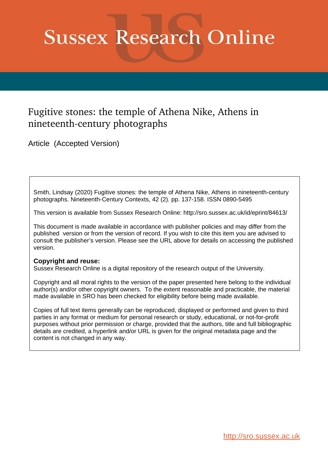# **Sussex Research Online**

# Fugitive stones: the temple of Athena Nike, Athens in nineteenth-century photographs

Article (Accepted Version)

Smith, Lindsay (2020) Fugitive stones: the temple of Athena Nike, Athens in nineteenth-century photographs. Nineteenth-Century Contexts, 42 (2). pp. 137-158. ISSN 0890-5495

This version is available from Sussex Research Online: http://sro.sussex.ac.uk/id/eprint/84613/

This document is made available in accordance with publisher policies and may differ from the published version or from the version of record. If you wish to cite this item you are advised to consult the publisher's version. Please see the URL above for details on accessing the published version.

# **Copyright and reuse:**

Sussex Research Online is a digital repository of the research output of the University.

Copyright and all moral rights to the version of the paper presented here belong to the individual author(s) and/or other copyright owners. To the extent reasonable and practicable, the material made available in SRO has been checked for eligibility before being made available.

Copies of full text items generally can be reproduced, displayed or performed and given to third parties in any format or medium for personal research or study, educational, or not-for-profit purposes without prior permission or charge, provided that the authors, title and full bibliographic details are credited, a hyperlink and/or URL is given for the original metadata page and the content is not changed in any way.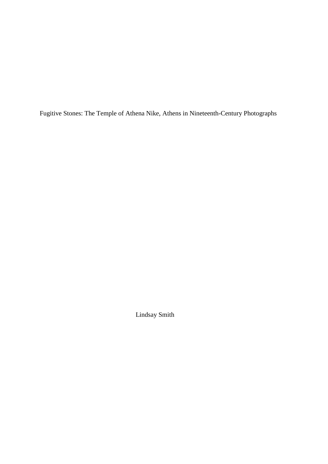Fugitive Stones: The Temple of Athena Nike, Athens in Nineteenth-Century Photographs

Lindsay Smith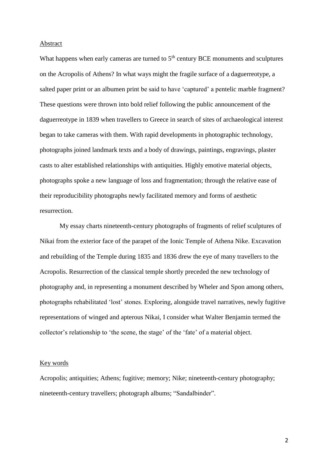#### Abstract

What happens when early cameras are turned to  $5<sup>th</sup>$  century BCE monuments and sculptures on the Acropolis of Athens? In what ways might the fragile surface of a daguerreotype, a salted paper print or an albumen print be said to have 'captured' a pentelic marble fragment? These questions were thrown into bold relief following the public announcement of the daguerreotype in 1839 when travellers to Greece in search of sites of archaeological interest began to take cameras with them. With rapid developments in photographic technology, photographs joined landmark texts and a body of drawings, paintings, engravings, plaster casts to alter established relationships with antiquities. Highly emotive material objects, photographs spoke a new language of loss and fragmentation; through the relative ease of their reproducibility photographs newly facilitated memory and forms of aesthetic resurrection.

My essay charts nineteenth-century photographs of fragments of relief sculptures of Nikai from the exterior face of the parapet of the Ionic Temple of Athena Nike. Excavation and rebuilding of the Temple during 1835 and 1836 drew the eye of many travellers to the Acropolis. Resurrection of the classical temple shortly preceded the new technology of photography and, in representing a monument described by Wheler and Spon among others, photographs rehabilitated 'lost' stones. Exploring, alongside travel narratives, newly fugitive representations of winged and apterous Nikai, I consider what Walter Benjamin termed the collector's relationship to 'the scene, the stage' of the 'fate' of a material object.

#### Key words

Acropolis; antiquities; Athens; fugitive; memory; Nike; nineteenth-century photography; nineteenth-century travellers; photograph albums; "Sandalbinder".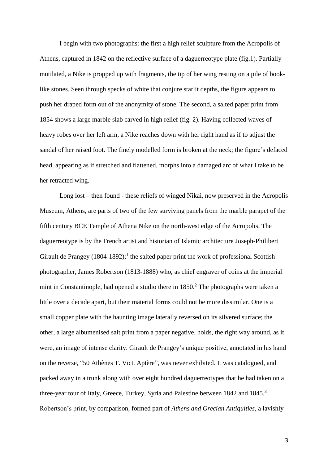I begin with two photographs: the first a high relief sculpture from the Acropolis of Athens, captured in 1842 on the reflective surface of a daguerreotype plate (fig.1). Partially mutilated, a Nike is propped up with fragments, the tip of her wing resting on a pile of booklike stones. Seen through specks of white that conjure starlit depths, the figure appears to push her draped form out of the anonymity of stone. The second, a salted paper print from 1854 shows a large marble slab carved in high relief (fig. 2). Having collected waves of heavy robes over her left arm, a Nike reaches down with her right hand as if to adjust the sandal of her raised foot. The finely modelled form is broken at the neck; the figure's defaced head, appearing as if stretched and flattened, morphs into a damaged arc of what I take to be her retracted wing.

Long lost – then found - these reliefs of winged Nikai, now preserved in the Acropolis Museum, Athens, are parts of two of the few surviving panels from the marble parapet of the fifth century BCE Temple of Athena Nike on the north-west edge of the Acropolis. The daguerreotype is by the French artist and historian of Islamic architecture Joseph-Philibert Girault de Prangey (1804-1892);<sup>1</sup> the salted paper print the work of professional Scottish photographer, James Robertson (1813-1888) who, as chief engraver of coins at the imperial mint in Constantinople, had opened a studio there in 1850.<sup>2</sup> The photographs were taken a little over a decade apart, but their material forms could not be more dissimilar. One is a small copper plate with the haunting image laterally reversed on its silvered surface; the other, a large albumenised salt print from a paper negative, holds, the right way around, as it were, an image of intense clarity. Girault de Prangey's unique positive, annotated in his hand on the reverse, "50 Athènes T. Vict. Aptère", was never exhibited. It was catalogued, and packed away in a trunk along with over eight hundred daguerreotypes that he had taken on a three-year tour of Italy, Greece, Turkey, Syria and Palestine between 1842 and 1845.<sup>3</sup> Robertson's print, by comparison, formed part of *Athens and Grecian Antiquities*, a lavishly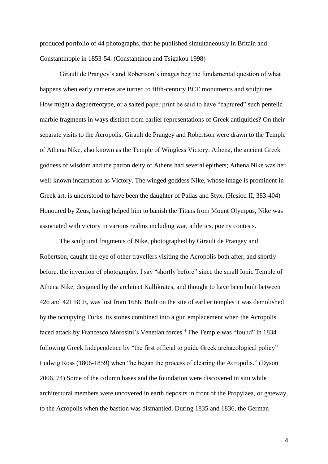produced portfolio of 44 photographs, that he published simultaneously in Britain and Constantinople in 1853-54. (Constantinou and Tsigakou 1998)

Girault de Prangey's and Robertson's images beg the fundamental question of what happens when early cameras are turned to fifth-century BCE monuments and sculptures. How might a daguerreotype, or a salted paper print be said to have "captured" such pentelic marble fragments in ways distinct from earlier representations of Greek antiquities? On their separate visits to the Acropolis, Girault de Prangey and Robertson were drawn to the Temple of Athena Nike, also known as the Temple of Wingless Victory. Athena, the ancient Greek goddess of wisdom and the patron deity of Athens had several epithets; Athena Nike was her well-known incarnation as Victory. The winged goddess Nike, whose image is prominent in Greek art, is understood to have been the daughter of Pallas and Styx. (Hesiod II, 383-404) Honoured by Zeus, having helped him to banish the Titans from Mount Olympus, Nike was associated with victory in various realms including war, athletics, poetry contests.

The sculptural fragments of Nike, photographed by Girault de Prangey and Robertson, caught the eye of other travellers visiting the Acropolis both after, and shortly before, the invention of photography. I say "shortly before" since the small Ionic Temple of Athena Nike, designed by the architect Kallikrates, and thought to have been built between 426 and 421 BCE, was lost from 1686. Built on the site of earlier temples it was demolished by the occupying Turks, its stones combined into a gun emplacement when the Acropolis faced attack by Francesco Morosini's Venetian forces.<sup>4</sup> The Temple was "found" in 1834 following Greek Independence by "the first official to guide Greek archaeological policy" Ludwig Ross (1806-1859) when "he began the process of clearing the Acropolis." (Dyson 2006, 74) Some of the column bases and the foundation were discovered in situ while architectural members were uncovered in earth deposits in front of the Propylaea, or gateway, to the Acropolis when the bastion was dismantled. During 1835 and 1836, the German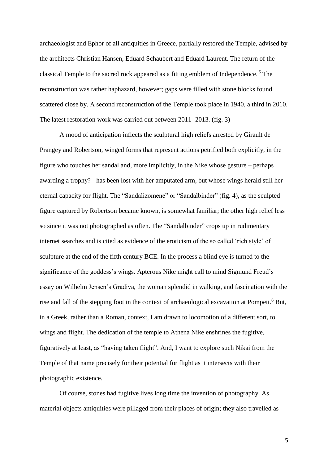archaeologist and Ephor of all antiquities in Greece, partially restored the Temple, advised by the architects Christian Hansen, Eduard Schaubert and Eduard Laurent. The return of the classical Temple to the sacred rock appeared as a fitting emblem of Independence. <sup>5</sup>The reconstruction was rather haphazard, however; gaps were filled with stone blocks found scattered close by. A second reconstruction of the Temple took place in 1940, a third in 2010. The latest restoration work was carried out between 2011- 2013. (fig. 3)

A mood of anticipation inflects the sculptural high reliefs arrested by Girault de Prangey and Robertson, winged forms that represent actions petrified both explicitly, in the figure who touches her sandal and, more implicitly, in the Nike whose gesture – perhaps awarding a trophy? - has been lost with her amputated arm, but whose wings herald still her eternal capacity for flight. The "Sandalizomene" or "Sandalbinder" (fig. 4), as the sculpted figure captured by Robertson became known, is somewhat familiar; the other high relief less so since it was not photographed as often. The "Sandalbinder" crops up in rudimentary internet searches and is cited as evidence of the eroticism of the so called 'rich style' of sculpture at the end of the fifth century BCE. In the process a blind eye is turned to the significance of the goddess's wings. Apterous Nike might call to mind Sigmund Freud's essay on Wilhelm Jensen's Gradiva, the woman splendid in walking, and fascination with the rise and fall of the stepping foot in the context of archaeological excavation at Pompeii.<sup>6</sup> But, in a Greek, rather than a Roman, context, I am drawn to locomotion of a different sort, to wings and flight. The dedication of the temple to Athena Nike enshrines the fugitive, figuratively at least, as "having taken flight". And, I want to explore such Nikai from the Temple of that name precisely for their potential for flight as it intersects with their photographic existence.

Of course, stones had fugitive lives long time the invention of photography. As material objects antiquities were pillaged from their places of origin; they also travelled as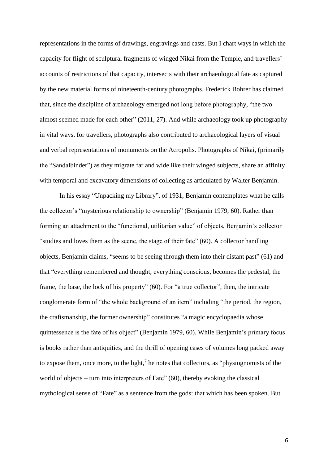representations in the forms of drawings, engravings and casts. But I chart ways in which the capacity for flight of sculptural fragments of winged Nikai from the Temple, and travellers' accounts of restrictions of that capacity, intersects with their archaeological fate as captured by the new material forms of nineteenth-century photographs. Frederick Bohrer has claimed that, since the discipline of archaeology emerged not long before photography, "the two almost seemed made for each other" (2011, 27). And while archaeology took up photography in vital ways, for travellers, photographs also contributed to archaeological layers of visual and verbal representations of monuments on the Acropolis. Photographs of Nikai, (primarily the "Sandalbinder") as they migrate far and wide like their winged subjects, share an affinity with temporal and excavatory dimensions of collecting as articulated by Walter Benjamin.

In his essay "Unpacking my Library", of 1931, Benjamin contemplates what he calls the collector's "mysterious relationship to ownership" (Benjamin 1979, 60). Rather than forming an attachment to the "functional, utilitarian value" of objects, Benjamin's collector "studies and loves them as the scene, the stage of their fate" (60). A collector handling objects, Benjamin claims, "seems to be seeing through them into their distant past" (61) and that "everything remembered and thought, everything conscious, becomes the pedestal, the frame, the base, the lock of his property" (60). For "a true collector", then, the intricate conglomerate form of "the whole background of an item" including "the period, the region, the craftsmanship, the former ownership" constitutes "a magic encyclopaedia whose quintessence is the fate of his object" (Benjamin 1979, 60). While Benjamin's primary focus is books rather than antiquities, and the thrill of opening cases of volumes long packed away to expose them, once more, to the light, $<sup>7</sup>$  he notes that collectors, as "physiognomists of the</sup> world of objects – turn into interpreters of Fate" (60), thereby evoking the classical mythological sense of "Fate" as a sentence from the gods: that which has been spoken. But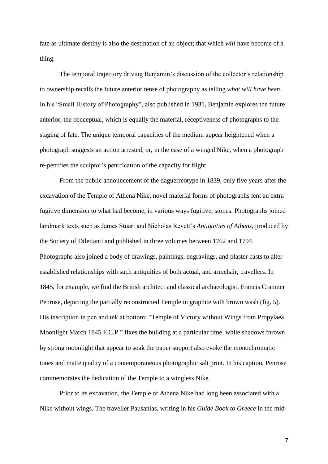fate as ultimate destiny is also the destination of an object; that which *will* have become of a thing.

The temporal trajectory driving Benjamin's discussion of the collector's relationship to ownership recalls the future anterior tense of photography as telling *what will have been*. In his "Small History of Photography", also published in 1931, Benjamin explores the future anterior, the conceptual, which is equally the material, receptiveness of photographs to the staging of fate. The unique temporal capacities of the medium appear heightened when a photograph suggests an action arrested, or, in the case of a winged Nike, when a photograph re-petrifies the sculptor's petrification of the capacity for flight.

From the public announcement of the daguerreotype in 1839, only five years after the excavation of the Temple of Athena Nike, novel material forms of photographs lent an extra fugitive dimension to what had become, in various ways fugitive, stones. Photographs joined landmark texts such as James Stuart and Nicholas Revett's *Antiquities of Athens*, produced by the Society of Dilettanti and published in three volumes between 1762 and 1794. Photographs also joined a body of drawings, paintings, engravings, and plaster casts to alter established relationships with such antiquities of both actual, and armchair, travellers. In 1845, for example, we find the British architect and classical archaeologist, Francis Cranmer Penrose, depicting the partially reconstructed Temple in graphite with brown wash (fig. 5). His inscription in pen and ink at bottom: "Temple of Victory without Wings from Propylaea Moonlight March 1845 F.C.P." fixes the building at a particular time, while shadows thrown by strong moonlight that appear to soak the paper support also evoke the monochromatic tones and matte quality of a contemporaneous photographic salt print. In his caption, Penrose commemorates the dedication of the Temple to a wingless Nike.

Prior to its excavation, the Temple of Athena Nike had long been associated with a Nike without wings. The traveller Pausanias, writing in his *Guide Book to Greece* in the mid-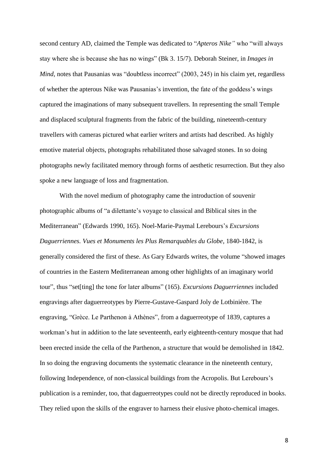second century AD, claimed the Temple was dedicated to "*Apteros Nike"* who "will always stay where she is because she has no wings" (Bk 3. 15/7). Deborah Steiner, in *Images in Mind*, notes that Pausanias was "doubtless incorrect" (2003, 245) in his claim yet, regardless of whether the apterous Nike was Pausanias's invention, the fate of the goddess's wings captured the imaginations of many subsequent travellers. In representing the small Temple and displaced sculptural fragments from the fabric of the building, nineteenth-century travellers with cameras pictured what earlier writers and artists had described. As highly emotive material objects, photographs rehabilitated those salvaged stones. In so doing photographs newly facilitated memory through forms of aesthetic resurrection. But they also spoke a new language of loss and fragmentation.

With the novel medium of photography came the introduction of souvenir photographic albums of "a dilettante's voyage to classical and Biblical sites in the Mediterranean" (Edwards 1990, 165). Noel-Marie-Paymal Lerebours's *Excursions Daguerriennes. Vues et Monuments les Plus Remarquables du Globe*, 1840-1842, is generally considered the first of these. As Gary Edwards writes, the volume "showed images of countries in the Eastern Mediterranean among other highlights of an imaginary world tour", thus "set[ting] the tone for later albums" (165). *Excursions Daguerriennes* included engravings after daguerreotypes by Pierre-Gustave-Gaspard Joly de Lotbinière. The engraving, "Grèce. Le Parthenon à Athènes", from a daguerreotype of 1839, captures a workman's hut in addition to the late seventeenth, early eighteenth-century mosque that had been erected inside the cella of the Parthenon, a structure that would be demolished in 1842. In so doing the engraving documents the systematic clearance in the nineteenth century, following Independence, of non-classical buildings from the Acropolis. But Lerebours's publication is a reminder, too, that daguerreotypes could not be directly reproduced in books. They relied upon the skills of the engraver to harness their elusive photo-chemical images.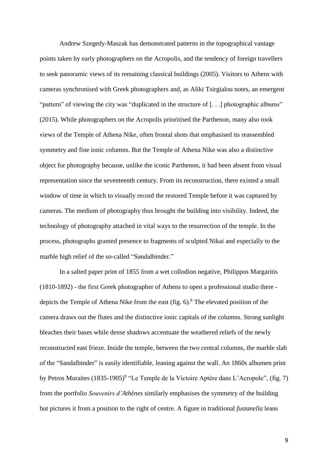Andrew Szegedy-Maszak has demonstrated patterns in the topographical vantage points taken by early photographers on the Acropolis, and the tendency of foreign travellers to seek panoramic views of its remaining classical buildings (2005). Visitors to Athens with cameras synchronised with Greek photographers and, as Aliki Tsirgialou notes, an emergent "pattern" of viewing the city was "duplicated in the structure of [...] photographic albums" (2015). While photographers on the Acropolis prioritised the Parthenon, many also took views of the Temple of Athena Nike, often frontal shots that emphasised its reassembled symmetry and fine ionic columns. But the Temple of Athena Nike was also a distinctive object for photography because, unlike the iconic Parthenon, it had been absent from visual representation since the seventeenth century. From its reconstruction, there existed a small window of time in which to visually record the restored Temple before it was captured by cameras. The medium of photography thus brought the building into visibility. Indeed, the technology of photography attached in vital ways to the resurrection of the temple. In the process, photographs granted presence to fragments of sculpted Nikai and especially to the marble high relief of the so-called "Sandalbinder."

In a salted paper print of 1855 from a wet collodion negative, Philippos Margaritis (1810-1892) - the first Greek photographer of Athens to open a professional studio there depicts the Temple of Athena Nike from the east (fig.  $6$ ).<sup>8</sup> The elevated position of the camera draws out the flutes and the distinctive ionic capitals of the columns. Strong sunlight bleaches their bases while dense shadows accentuate the weathered reliefs of the newly reconstructed east frieze. Inside the temple, between the two central columns, the marble slab of the "Sandalbinder" is easily identifiable, leaning against the wall. An 1860s albumen print by Petros Moraites (1835-1905)<sup>9</sup> "Le Temple de la Victoire Aptère dans L'Acropole", (fig. 7) from the portfolio *Souvenirs d'Athènes* similarly emphasises the symmetry of the building but pictures it from a position to the right of centre. A figure in traditional *fustanella* leans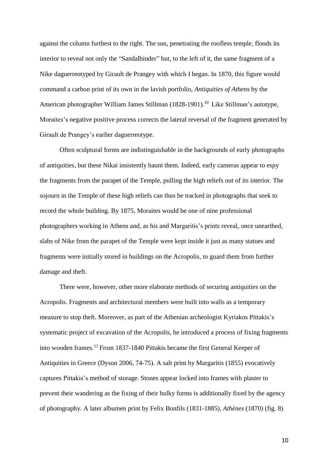against the column furthest to the right. The sun, penetrating the roofless temple, floods its interior to reveal not only the "Sandalbinder" but, to the left of it, the same fragment of a Nike daguerreotyped by Girault de Prangey with which I began. In 1870, this figure would command a carbon print of its own in the lavish portfolio, *Antiquities of Athens* by the American photographer William James Stillman (1828-1901).<sup>10</sup> Like Stillman's autotype, Moraites's negative positive process corrects the lateral reversal of the fragment generated by Girault de Prangey's earlier daguerreotype.

Often sculptural forms are indistinguishable in the backgrounds of early photographs of antiquities, but these Nikai insistently haunt them. Indeed, early cameras appear to espy the fragments from the parapet of the Temple, pulling the high reliefs out of its interior. The sojourn in the Temple of these high reliefs can thus be tracked in photographs that seek to record the whole building. By 1875, Moraites would be one of nine professional photographers working in Athens and, as his and Margaritis's prints reveal, once unearthed, slabs of Nike from the parapet of the Temple were kept inside it just as many statues and fragments were initially stored in buildings on the Acropolis, to guard them from further damage and theft.

There were, however, other more elaborate methods of securing antiquities on the Acropolis. Fragments and architectural members were built into walls as a temporary measure to stop theft. Moreover, as part of the Athenian archeologist Kyriakos Pittakis's systematic project of excavation of the Acropolis, he introduced a process of fixing fragments into wooden frames.<sup>11</sup> From 1837-1840 Pittakis became the first General Keeper of Antiquities in Greece (Dyson 2006, 74-75). A salt print by Margaritis (1855) evocatively captures Pittakis's method of storage. Stones appear locked into frames with plaster to prevent their wandering as the fixing of their bulky forms is additionally fixed by the agency of photography. A later albumen print by Felix Bonfils (1831-1885), *Athènes* (1870) (fig. 8)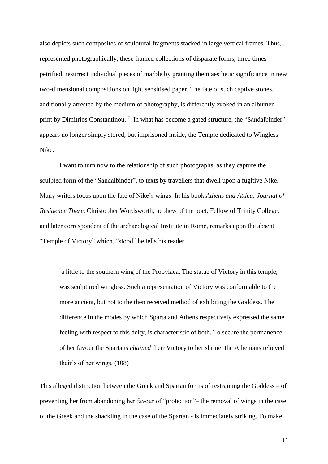also depicts such composites of sculptural fragments stacked in large vertical frames. Thus, represented photographically, these framed collections of disparate forms, three times petrified, resurrect individual pieces of marble by granting them aesthetic significance in new two-dimensional compositions on light sensitised paper. The fate of such captive stones, additionally arrested by the medium of photography, is differently evoked in an albumen print by Dimitrios Constantinou.<sup>12</sup> In what has become a gated structure, the "Sandalbinder" appears no longer simply stored, but imprisoned inside, the Temple dedicated to Wingless Nike.

I want to turn now to the relationship of such photographs, as they capture the sculpted form of the "Sandalbinder", to texts by travellers that dwell upon a fugitive Nike. Many writers focus upon the fate of Nike's wings. In his book *Athens and Attica: Journal of Residence There*, Christopher Wordsworth, nephew of the poet, Fellow of Trinity College, and later correspondent of the archaeological Institute in Rome, remarks upon the absent "Temple of Victory" which, "stood" he tells his reader,

a little to the southern wing of the Propylaea. The statue of Victory in this temple, was sculptured wingless. Such a representation of Victory was conformable to the more ancient, but not to the then received method of exhibiting the Goddess. The difference in the modes by which Sparta and Athens respectively expressed the same feeling with respect to this deity, is characteristic of both. To secure the permanence of her favour the Spartans *chained* their Victory to her shrine: the Athenians relieved their's of her wings. (108)

This alleged distinction between the Greek and Spartan forms of restraining the Goddess – of preventing her from abandoning her favour of "protection"– the removal of wings in the case of the Greek and the shackling in the case of the Spartan - is immediately striking. To make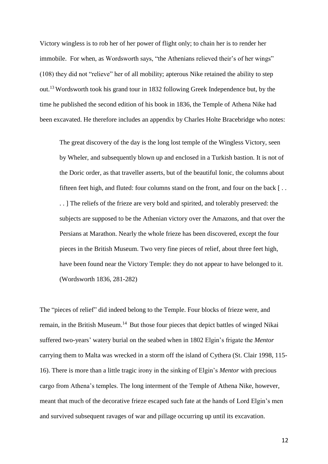Victory wingless is to rob her of her power of flight only; to chain her is to render her immobile. For when, as Wordsworth says, "the Athenians relieved their's of her wings" (108) they did not "relieve" her of all mobility; apterous Nike retained the ability to step out.<sup>13</sup> Wordsworth took his grand tour in 1832 following Greek Independence but, by the time he published the second edition of his book in 1836, the Temple of Athena Nike had been excavated. He therefore includes an appendix by Charles Holte Bracebridge who notes:

The great discovery of the day is the long lost temple of the Wingless Victory, seen by Wheler, and subsequently blown up and enclosed in a Turkish bastion. It is not of the Doric order, as that traveller asserts, but of the beautiful Ionic, the columns about fifteen feet high, and fluted: four columns stand on the front, and four on the back [ . . . . ] The reliefs of the frieze are very bold and spirited, and tolerably preserved: the subjects are supposed to be the Athenian victory over the Amazons, and that over the Persians at Marathon. Nearly the whole frieze has been discovered, except the four pieces in the British Museum. Two very fine pieces of relief, about three feet high, have been found near the Victory Temple: they do not appear to have belonged to it. (Wordsworth 1836, 281-282)

The "pieces of relief" did indeed belong to the Temple. Four blocks of frieze were, and remain, in the British Museum.<sup>14</sup> But those four pieces that depict battles of winged Nikai suffered two-years' watery burial on the seabed when in 1802 Elgin's frigate the *Mentor* carrying them to Malta was wrecked in a storm off the island of Cythera (St. Clair 1998, 115- 16). There is more than a little tragic irony in the sinking of Elgin's *Mentor* with precious cargo from Athena's temples. The long interment of the Temple of Athena Nike, however, meant that much of the decorative frieze escaped such fate at the hands of Lord Elgin's men and survived subsequent ravages of war and pillage occurring up until its excavation.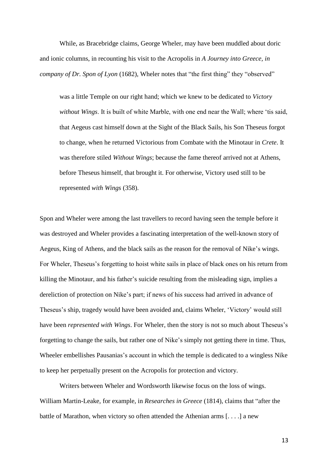While, as Bracebridge claims, George Wheler, may have been muddled about doric and ionic columns, in recounting his visit to the Acropolis in *A Journey into Greece, in company of Dr. Spon of Lyon* (1682), Wheler notes that "the first thing" they "observed"

was a little Temple on our right hand; which we knew to be dedicated to *Victory without Wings*. It is built of white Marble, with one end near the Wall; where 'tis said, that Aegeus cast himself down at the Sight of the Black Sails, his Son Theseus forgot to change, when he returned Victorious from Combate with the Minotaur in *Crete*. It was therefore stiled *Without Wings*; because the fame thereof arrived not at Athens, before Theseus himself, that brought it. For otherwise, Victory used still to be represented *with Wings* (358).

Spon and Wheler were among the last travellers to record having seen the temple before it was destroyed and Wheler provides a fascinating interpretation of the well-known story of Aegeus, King of Athens, and the black sails as the reason for the removal of Nike's wings. For Wheler, Theseus's forgetting to hoist white sails in place of black ones on his return from killing the Minotaur, and his father's suicide resulting from the misleading sign, implies a dereliction of protection on Nike's part; if news of his success had arrived in advance of Theseus's ship, tragedy would have been avoided and, claims Wheler, 'Victory' would still have been *represented with Wings*. For Wheler, then the story is not so much about Theseus's forgetting to change the sails, but rather one of Nike's simply not getting there in time. Thus, Wheeler embellishes Pausanias's account in which the temple is dedicated to a wingless Nike to keep her perpetually present on the Acropolis for protection and victory.

Writers between Wheler and Wordsworth likewise focus on the loss of wings. William Martin-Leake, for example, in *Researches in Greece* (1814), claims that "after the battle of Marathon, when victory so often attended the Athenian arms [. . . .] a new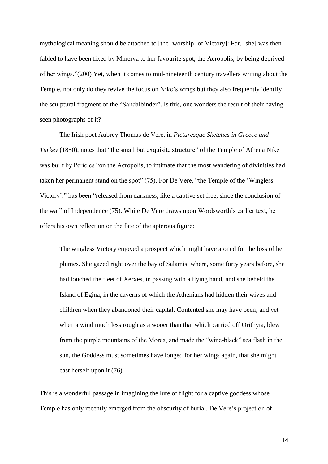mythological meaning should be attached to [the] worship [of Victory]: For, [she] was then fabled to have been fixed by Minerva to her favourite spot, the Acropolis, by being deprived of her wings."(200) Yet, when it comes to mid-nineteenth century travellers writing about the Temple, not only do they revive the focus on Nike's wings but they also frequently identify the sculptural fragment of the "Sandalbinder". Is this, one wonders the result of their having seen photographs of it?

The Irish poet Aubrey Thomas de Vere, in *Picturesque Sketches in Greece and Turkey* (1850), notes that "the small but exquisite structure" of the Temple of Athena Nike was built by Pericles "on the Acropolis, to intimate that the most wandering of divinities had taken her permanent stand on the spot" (75). For De Vere, "the Temple of the 'Wingless Victory'," has been "released from darkness, like a captive set free, since the conclusion of the war" of Independence (75). While De Vere draws upon Wordsworth's earlier text, he offers his own reflection on the fate of the apterous figure:

The wingless Victory enjoyed a prospect which might have atoned for the loss of her plumes. She gazed right over the bay of Salamis, where, some forty years before, she had touched the fleet of Xerxes, in passing with a flying hand, and she beheld the Island of Egina, in the caverns of which the Athenians had hidden their wives and children when they abandoned their capital. Contented she may have been; and yet when a wind much less rough as a wooer than that which carried off Orithyia, blew from the purple mountains of the Morea, and made the "wine-black" sea flash in the sun, the Goddess must sometimes have longed for her wings again, that she might cast herself upon it (76).

This is a wonderful passage in imagining the lure of flight for a captive goddess whose Temple has only recently emerged from the obscurity of burial. De Vere's projection of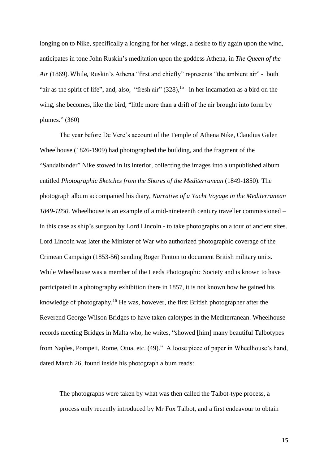longing on to Nike, specifically a longing for her wings, a desire to fly again upon the wind, anticipates in tone John Ruskin's meditation upon the goddess Athena, in *The Queen of the Air* (1869). While, Ruskin's Athena "first and chiefly" represents "the ambient air" - both "air as the spirit of life", and, also, "fresh air"  $(328)$ ,  $^{15}$  - in her incarnation as a bird on the wing, she becomes, like the bird, "little more than a drift of the air brought into form by plumes." (360)

The year before De Vere's account of the Temple of Athena Nike, Claudius Galen Wheelhouse (1826-1909) had photographed the building, and the fragment of the "Sandalbinder" Nike stowed in its interior, collecting the images into a unpublished album entitled *Photographic Sketches from the Shores of the Mediterranean* (1849-1850). The photograph album accompanied his diary, *Narrative of a Yacht Voyage in the Mediterranean 1849-1850*. Wheelhouse is an example of a mid-nineteenth century traveller commissioned – in this case as ship's surgeon by Lord Lincoln - to take photographs on a tour of ancient sites. Lord Lincoln was later the Minister of War who authorized photographic coverage of the Crimean Campaign (1853-56) sending Roger Fenton to document British military units. While Wheelhouse was a member of the Leeds Photographic Society and is known to have participated in a photography exhibition there in 1857, it is not known how he gained his knowledge of photography.<sup>16</sup> He was, however, the first British photographer after the Reverend George Wilson Bridges to have taken calotypes in the Mediterranean. Wheelhouse records meeting Bridges in Malta who, he writes, "showed [him] many beautiful Talbotypes from Naples, Pompeii, Rome, Otua, etc. (49)." A loose piece of paper in Wheelhouse's hand, dated March 26, found inside his photograph album reads:

The photographs were taken by what was then called the Talbot-type process, a process only recently introduced by Mr Fox Talbot, and a first endeavour to obtain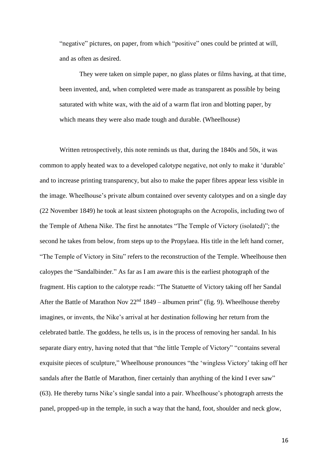"negative" pictures, on paper, from which "positive" ones could be printed at will, and as often as desired.

They were taken on simple paper, no glass plates or films having, at that time, been invented, and, when completed were made as transparent as possible by being saturated with white wax, with the aid of a warm flat iron and blotting paper, by which means they were also made tough and durable. (Wheelhouse)

Written retrospectively, this note reminds us that, during the 1840s and 50s, it was common to apply heated wax to a developed calotype negative, not only to make it 'durable' and to increase printing transparency, but also to make the paper fibres appear less visible in the image. Wheelhouse's private album contained over seventy calotypes and on a single day (22 November 1849) he took at least sixteen photographs on the Acropolis, including two of the Temple of Athena Nike. The first he annotates "The Temple of Victory (isolated)"; the second he takes from below, from steps up to the Propylaea. His title in the left hand corner, "The Temple of Victory in Situ" refers to the reconstruction of the Temple. Wheelhouse then caloypes the "Sandalbinder." As far as I am aware this is the earliest photograph of the fragment. His caption to the calotype reads: "The Statuette of Victory taking off her Sandal After the Battle of Marathon Nov  $22<sup>nd</sup> 1849$  – albumen print" (fig. 9). Wheelhouse thereby imagines, or invents, the Nike's arrival at her destination following her return from the celebrated battle. The goddess, he tells us, is in the process of removing her sandal. In his separate diary entry, having noted that that "the little Temple of Victory" "contains several exquisite pieces of sculpture," Wheelhouse pronounces "the 'wingless Victory' taking off her sandals after the Battle of Marathon, finer certainly than anything of the kind I ever saw" (63). He thereby turns Nike's single sandal into a pair. Wheelhouse's photograph arrests the panel, propped-up in the temple, in such a way that the hand, foot, shoulder and neck glow,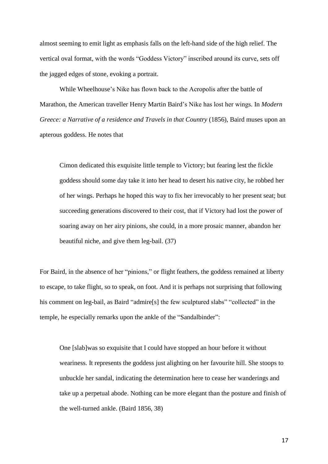almost seeming to emit light as emphasis falls on the left-hand side of the high relief. The vertical oval format, with the words "Goddess Victory" inscribed around its curve, sets off the jagged edges of stone, evoking a portrait.

While Wheelhouse's Nike has flown back to the Acropolis after the battle of Marathon, the American traveller Henry Martin Baird's Nike has lost her wings. In *Modern Greece: a Narrative of a residence and Travels in that Country* (1856), Baird muses upon an apterous goddess. He notes that

Cimon dedicated this exquisite little temple to Victory; but fearing lest the fickle goddess should some day take it into her head to desert his native city, he robbed her of her wings. Perhaps he hoped this way to fix her irrevocably to her present seat; but succeeding generations discovered to their cost, that if Victory had lost the power of soaring away on her airy pinions, she could, in a more prosaic manner, abandon her beautiful niche, and give them leg-bail. (37)

For Baird, in the absence of her "pinions," or flight feathers, the goddess remained at liberty to escape, to take flight, so to speak, on foot. And it is perhaps not surprising that following his comment on leg-bail, as Baird "admire<sup>[s]</sup> the few sculptured slabs" "collected" in the temple, he especially remarks upon the ankle of the "Sandalbinder":

One [slab]was so exquisite that I could have stopped an hour before it without weariness. It represents the goddess just alighting on her favourite hill. She stoops to unbuckle her sandal, indicating the determination here to cease her wanderings and take up a perpetual abode. Nothing can be more elegant than the posture and finish of the well-turned ankle. (Baird 1856, 38)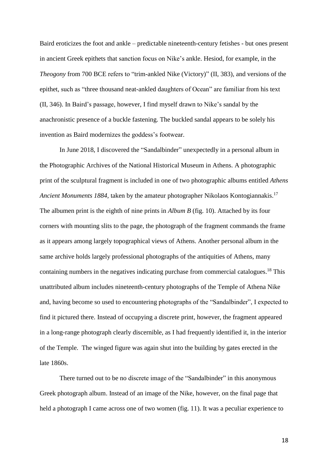Baird eroticizes the foot and ankle – predictable nineteenth-century fetishes - but ones present in ancient Greek epithets that sanction focus on Nike's ankle. Hesiod, for example, in the *Theogony* from 700 BCE refers to "trim-ankled Nike (Victory)" (II, 383), and versions of the epithet, such as "three thousand neat-ankled daughters of Ocean" are familiar from his text (II, 346). In Baird's passage, however, I find myself drawn to Nike's sandal by the anachronistic presence of a buckle fastening. The buckled sandal appears to be solely his invention as Baird modernizes the goddess's footwear.

In June 2018, I discovered the "Sandalbinder" unexpectedly in a personal album in the Photographic Archives of the National Historical Museum in Athens. A photographic print of the sculptural fragment is included in one of two photographic albums entitled *Athens Ancient Monuments 1884,* taken by the amateur photographer Nikolaos Kontogiannakis. 17 The albumen print is the eighth of nine prints in *Album B* (fig. 10). Attached by its four corners with mounting slits to the page, the photograph of the fragment commands the frame as it appears among largely topographical views of Athens. Another personal album in the same archive holds largely professional photographs of the antiquities of Athens, many containing numbers in the negatives indicating purchase from commercial catalogues.<sup>18</sup> This unattributed album includes nineteenth-century photographs of the Temple of Athena Nike and, having become so used to encountering photographs of the "Sandalbinder", I expected to find it pictured there. Instead of occupying a discrete print, however, the fragment appeared in a long-range photograph clearly discernible, as I had frequently identified it, in the interior of the Temple. The winged figure was again shut into the building by gates erected in the late 1860s.

There turned out to be no discrete image of the "Sandalbinder" in this anonymous Greek photograph album. Instead of an image of the Nike, however, on the final page that held a photograph I came across one of two women (fig. 11). It was a peculiar experience to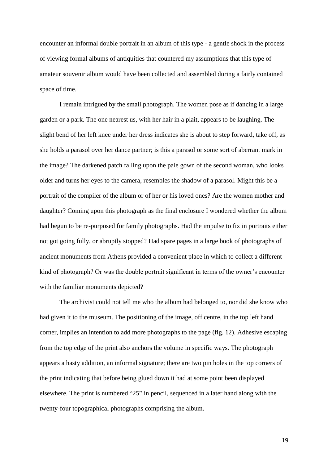encounter an informal double portrait in an album of this type - a gentle shock in the process of viewing formal albums of antiquities that countered my assumptions that this type of amateur souvenir album would have been collected and assembled during a fairly contained space of time.

I remain intrigued by the small photograph. The women pose as if dancing in a large garden or a park. The one nearest us, with her hair in a plait, appears to be laughing. The slight bend of her left knee under her dress indicates she is about to step forward, take off, as she holds a parasol over her dance partner; is this a parasol or some sort of aberrant mark in the image? The darkened patch falling upon the pale gown of the second woman, who looks older and turns her eyes to the camera, resembles the shadow of a parasol. Might this be a portrait of the compiler of the album or of her or his loved ones? Are the women mother and daughter? Coming upon this photograph as the final enclosure I wondered whether the album had begun to be re-purposed for family photographs. Had the impulse to fix in portraits either not got going fully, or abruptly stopped? Had spare pages in a large book of photographs of ancient monuments from Athens provided a convenient place in which to collect a different kind of photograph? Or was the double portrait significant in terms of the owner's encounter with the familiar monuments depicted?

The archivist could not tell me who the album had belonged to, nor did she know who had given it to the museum. The positioning of the image, off centre, in the top left hand corner, implies an intention to add more photographs to the page (fig. 12). Adhesive escaping from the top edge of the print also anchors the volume in specific ways. The photograph appears a hasty addition, an informal signature; there are two pin holes in the top corners of the print indicating that before being glued down it had at some point been displayed elsewhere. The print is numbered "25" in pencil, sequenced in a later hand along with the twenty-four topographical photographs comprising the album.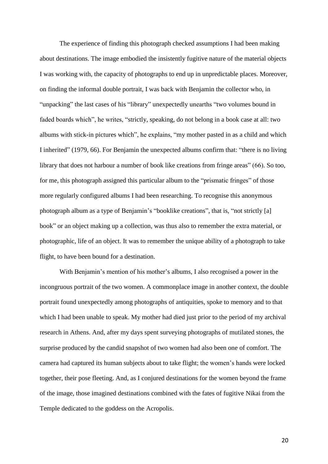The experience of finding this photograph checked assumptions I had been making about destinations. The image embodied the insistently fugitive nature of the material objects I was working with, the capacity of photographs to end up in unpredictable places. Moreover, on finding the informal double portrait, I was back with Benjamin the collector who, in "unpacking" the last cases of his "library" unexpectedly unearths "two volumes bound in faded boards which", he writes, "strictly, speaking, do not belong in a book case at all: two albums with stick-in pictures which", he explains, "my mother pasted in as a child and which I inherited" (1979, 66). For Benjamin the unexpected albums confirm that: "there is no living library that does not harbour a number of book like creations from fringe areas" (66). So too, for me, this photograph assigned this particular album to the "prismatic fringes" of those more regularly configured albums I had been researching. To recognise this anonymous photograph album as a type of Benjamin's "booklike creations", that is, "not strictly [a] book" or an object making up a collection, was thus also to remember the extra material, or photographic, life of an object. It was to remember the unique ability of a photograph to take flight, to have been bound for a destination.

With Benjamin's mention of his mother's albums, I also recognised a power in the incongruous portrait of the two women. A commonplace image in another context, the double portrait found unexpectedly among photographs of antiquities, spoke to memory and to that which I had been unable to speak. My mother had died just prior to the period of my archival research in Athens. And, after my days spent surveying photographs of mutilated stones, the surprise produced by the candid snapshot of two women had also been one of comfort. The camera had captured its human subjects about to take flight; the women's hands were locked together, their pose fleeting. And, as I conjured destinations for the women beyond the frame of the image, those imagined destinations combined with the fates of fugitive Nikai from the Temple dedicated to the goddess on the Acropolis.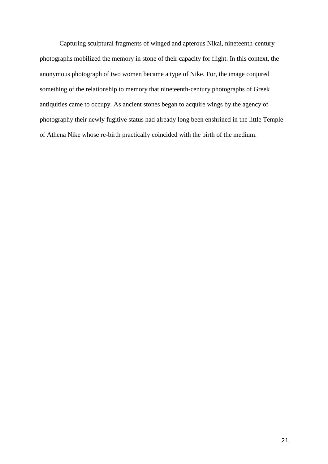Capturing sculptural fragments of winged and apterous Nikai, nineteenth-century photographs mobilized the memory in stone of their capacity for flight. In this context, the anonymous photograph of two women became a type of Nike. For, the image conjured something of the relationship to memory that nineteenth-century photographs of Greek antiquities came to occupy. As ancient stones began to acquire wings by the agency of photography their newly fugitive status had already long been enshrined in the little Temple of Athena Nike whose re-birth practically coincided with the birth of the medium.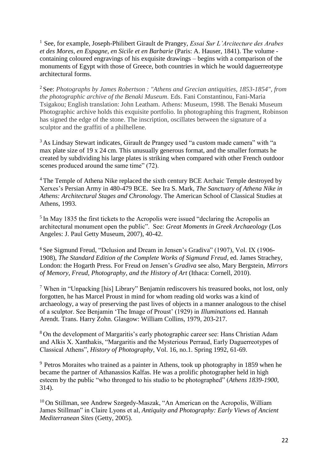<sup>1</sup>See, for example, Joseph-Philibert Girault de Prangey, *Essai Sur L'Arcitecture des Arabes et des Mores, en Espagne, en Sicile et en Barbarie* (Paris: A. Hauser, 1841). The volume containing coloured engravings of his exquisite drawings – begins with a comparison of the monuments of Egypt with those of Greece, both countries in which he would daguerreotype architectural forms.

<sup>2</sup>See: *Photographs by James Robertson : "Athens and Grecian antiquities, 1853-1854", from the photographic archive of the Benaki Museum*. Eds. Fani Constantinou, Fani-Maria Tsigakou; English translation: John Leatham. Athens: Museum, 1998. The Benaki Museum Photographic archive holds this exquisite portfolio. In photographing this fragment, Robinson has signed the edge of the stone. The inscription, oscillates between the signature of a sculptor and the graffiti of a philhellene.

<sup>3</sup> As Lindsay Stewart indicates, Girault de Prangey used "a custom made camera" with "a max plate size of 19 x 24 cm. This unusually generous format, and the smaller formats he created by subdividing his large plates is striking when compared with other French outdoor scenes produced around the same time" (72).

<sup>4</sup> The Temple of Athena Nike replaced the sixth century BCE Archaic Temple destroyed by Xerxes's Persian Army in 480-479 BCE. See Ira S. Mark, *The Sanctuary of Athena Nike in Athens: Architectural Stages and Chronology*. The American School of Classical Studies at Athens, 1993.

 $<sup>5</sup>$  In May 1835 the first tickets to the Acropolis were issued "declaring the Acropolis an</sup> architectural monument open the public". See: *Great Moments in Greek Archaeology* (Los Angeles: J. Paul Getty Museum, 2007), 40-42.

<sup>6</sup> See Sigmund Freud, "Delusion and Dream in Jensen's Gradiva" (1907), Vol. IX (1906-1908), *The Standard Edition of the Complete Works of Sigmund Freud*, ed. James Strachey, London: the Hogarth Press. For Freud on Jensen's *Gradiva* see also, Mary Bergstein, *Mirrors of Memory, Freud, Photography, and the History of Art* (Ithaca: Cornell, 2010).

<sup>7</sup> When in "Unpacking [his] Library" Benjamin rediscovers his treasured books, not lost, only forgotten, he has Marcel Proust in mind for whom reading old works was a kind of archaeology, a way of preserving the past lives of objects in a manner analogous to the chisel of a sculptor. See Benjamin 'The Image of Proust' (1929) in *Illuminations* ed. Hannah Arendt. Trans. Harry Zohn. Glasgow: William Collins, 1979, 203-217.

<sup>8</sup> On the development of Margaritis's early photographic career see: Hans Christian Adam and Alkis X. Xanthakis, "Margaritis and the Mysterious Perraud, Early Daguerreotypes of Classical Athens", *History of Photography*, Vol. 16, no.1. Spring 1992, 61-69.

 $9$  Petros Moraites who trained as a painter in Athens, took up photography in 1859 when he became the partner of Athanassios Kalfas. He was a prolific photographer held in high esteem by the public "who thronged to his studio to be photographed" (*Athens 1839-1900*, 314).

<sup>10</sup> On Stillman, see Andrew Szegedy-Maszak, "An American on the Acropolis, William James Stillman" in Claire Lyons et al, *Antiquity and Photography: Early Views of Ancient Mediterranean Sites* (Getty, 2005).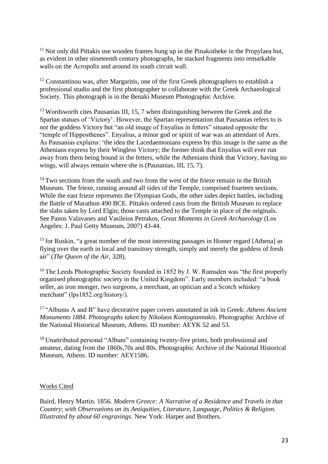$11$  Not only did Pittakis use wooden frames hung up in the Pinakotheke in the Propylaea but, as evident in other nineteenth century photographs, he stacked fragments into remarkable walls on the Acropolis and around its south circuit wall.

 $12$  Constantinou was, after Margaritis, one of the first Greek photographers to establish a professional studio and the first photographer to collaborate with the Greek Archaeological Society. This photograph is in the Benaki Museum Photographic Archive.

 $13$  Wordsworth cites Pausanias III, 15, 7 when distinguishing between the Greek and the Spartan statues of 'Victory'. However, the Spartan representation that Pausanias refers to is *not* the goddess Victory but "an old image of Enyalius in fetters" situated opposite the "temple of Hipposthenes". Enyalius, a minor god or spirit of war was an attendant of Ares. As Pausanias explains: 'the idea the Lacedaemonians express by this image is the same as the Athenians express by their Wingless Victory; the former think that Enyalius will ever run away from them being bound in the fetters, while the Athenians think that Victory, having no wings, will always remain where she is (Pausanias, III, 15, 7).

<sup>14</sup> Two sections from the south and two from the west of the frieze remain in the British Museum. The frieze, running around all sides of the Temple, comprised fourteen sections. While the east frieze represents the Olympian Gods, the other sides depict battles, including the Battle of Marathon 490 BCE. Pittakis ordered casts from the British Museum to replace the slabs taken by Lord Elgin; those casts attached to the Temple in place of the originals. See Panos Valavanes and Vasileios Petrakos, *Great Moments in Greek Archaeology* (Los Angeles: J. Paul Getty Museum, 2007) 43-44.

<sup>15</sup> for Ruskin, "a great number of the most interesting passages in Homer regard [Athena] as flying over the earth in local and transitory strength, simply and merely the goddess of fresh air" (*The Queen of the Air*, 328).

<sup>16</sup>The Leeds Photographic Society founded in 1852 by J. W. Ramsden was "the first properly organised photographic society in the United Kingdom". Early members included: "a book seller, an iron monger, two surgeons, a merchant, an optician and a Scotch whiskey merchant" (lps1852.org/history/).

<sup>17</sup>"Albums A and B" have decorative paper covers annotated in ink in Greek: *Athens Ancient Monuments 1884. Photographs taken by Nikolaos Kontogiannakis.* Photographic Archive of the National Historical Museum, Athens. ID number: AEYK 52 and 53.

<sup>18</sup> Unattributed personal "Album" containing twenty-five prints, both professional and amateur, dating from the 1860s,70s and 80s. Photographic Archive of the National Historical Museum, Athens. ID number: AEY1586.

# Works Cited

Baird, Henry Martin. 1856. *Modern Greece: A Narrative of a Residence and Travels in that Country*; *with Observations on its Antiquities, Literature, Language, Politics & Religion. Illustrated by about 60 engravings.* New York: Harper and Brothers.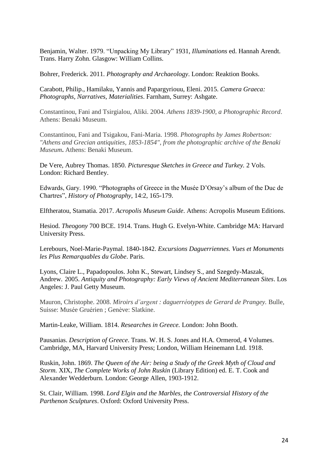Benjamin, Walter. 1979. "Unpacking My Library" 1931, *Illuminations* ed. Hannah Arendt. Trans. Harry Zohn. Glasgow: William Collins.

Bohrer, Frederick. 2011. *Photography and Archaeology*. London: Reaktion Books.

Carabott, Philip., Hamilaku, Yannis and Papargyriouu, Eleni. 2015. *Camera Graeca: Photographs, Narratives, Materialities*. Farnham, Surrey: Ashgate.

Constantinou, Fani and Tsirgialou, Aliki. 2004. *Athens 1839-1900, a Photographic Record*. Athens: Benaki Museum.

Constantinou, Fani and Tsigakou, Fani-Maria. 1998. *Photographs by James Robertson: "Athens and Grecian antiquities, 1853-1854", from the photographic archive of the Benaki Museum***.** Athens: Benaki Museum.

De Vere, Aubrey Thomas. 1850. *Picturesque Sketches in Greece and Turkey.* 2 Vols. London: Richard Bentley.

Edwards, Gary. 1990. "Photographs of Greece in the Musée D'Orsay's album of the Duc de Chartres", *History of Photography*, 14:2, 165-179.

Elftheratou, Stamatia. 2017. *Acropolis Museum Guide*. Athens: Acropolis Museum Editions.

Hesiod. *Theogony* 700 BCE. 1914. Trans. Hugh G. Evelyn-White. Cambridge MA: Harvard University Press.

Lerebours, Noel-Marie-Paymal. 1840-1842. *Excursions Daguerriennes. Vues et Monuments les Plus Remarquables du Globe*. Paris.

Lyons, Claire L., Papadopoulos. John K., Stewart, Lindsey S., and Szegedy-Maszak, Andrew. 2005. *Antiquity and Photography: Early Views of Ancient Mediterranean Sites*. Los Angeles: J. Paul Getty Museum.

Mauron, Christophe. 2008. *Miroirs d'argent : daguerréotypes de Gerard de Prangey.* Bulle, Suisse: Musée Gruérien ; Genève: Slatkine.

Martin-Leake, William. 1814. *Researches in Greece.* London: John Booth.

Pausanias. *Description of Greece*. Trans. W. H. S. Jones and H.A. Ormerod, 4 Volumes. Cambridge, MA, Harvard University Press; London, William Heinemann Ltd. 1918.

Ruskin, John. 1869. *The Queen of the Air: being a Study of the Greek Myth of Cloud and Storm.* XIX, *The Complete Works of John Ruskin* (Library Edition) ed. E. T. Cook and Alexander Wedderburn. London: George Allen, 1903-1912.

St. Clair, William. 1998. *Lord Elgin and the Marbles, the Controversial History of the Parthenon Sculptures*. Oxford: Oxford University Press.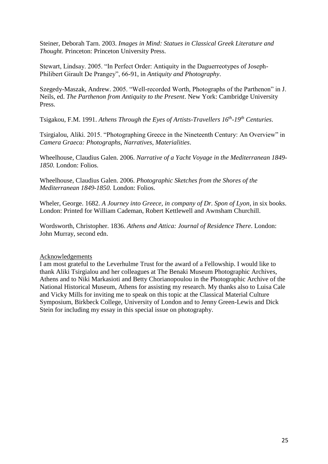Steiner, Deborah Tarn. 2003. *Images in Mind: Statues in Classical Greek Literature and Thought.* Princeton: Princeton University Press.

Stewart, Lindsay. 2005. "In Perfect Order: Antiquity in the Daguerreotypes of Joseph-Philibert Girault De Prangey", 66-91, in *Antiquity and Photography*.

Szegedy-Maszak, Andrew. 2005. "Well-recorded Worth, Photographs of the Parthenon" in J. Neils, ed. *The Parthenon from Antiquity to the Present*. New York: Cambridge University Press.

Tsigakou, F.M. 1991. *Athens Through the Eyes of Artists-Travellers 16th -19th Centuries*.

Tsirgialou, Aliki. 2015. "Photographing Greece in the Nineteenth Century: An Overview" in *Camera Graeca: Photographs, Narratives, Materialities*.

Wheelhouse, Claudius Galen. 2006. *Narrative of a Yacht Voyage in the Mediterranean 1849- 1850.* London: Folios.

Wheelhouse, Claudius Galen. 2006. *Photographic Sketches from the Shores of the Mediterranean 1849-1850.* London: Folios.

Wheler, George. 1682. *A Journey into Greece, in company of Dr. Spon of Lyon*, in six books. London: Printed for William Cademan, Robert Kettlewell and Awnsham Churchill.

Wordsworth, Christopher. 1836. *Athens and Attica: Journal of Residence There*. London: John Murray, second edn.

# Acknowledgements

I am most grateful to the Leverhulme Trust for the award of a Fellowship. I would like to thank Aliki Tsirgialou and her colleagues at The Benaki Museum Photographic Archives, Athens and to Niki Markasioti and Betty Chorianopoulou in the Photographic Archive of the National Historical Museum, Athens for assisting my research. My thanks also to Luisa Cale and Vicky Mills for inviting me to speak on this topic at the Classical Material Culture Symposium, Birkbeck College, University of London and to Jenny Green-Lewis and Dick Stein for including my essay in this special issue on photography.